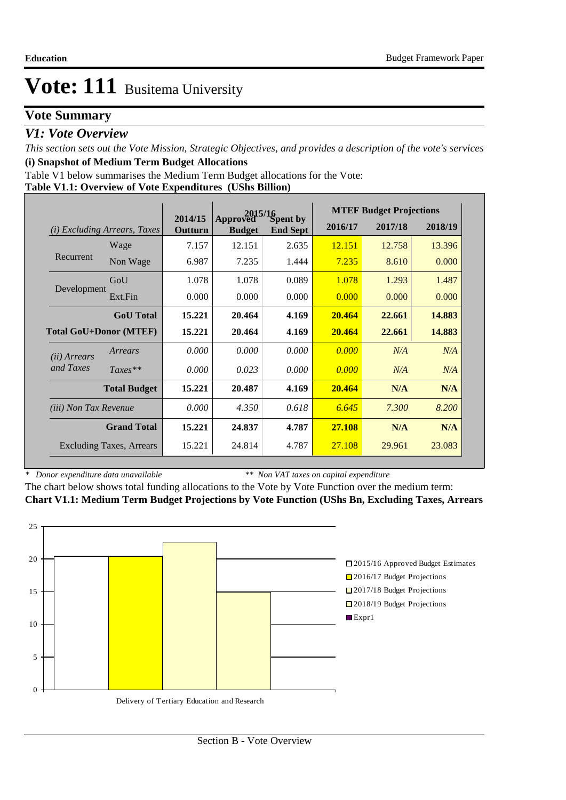### **Vote Summary**

### *V1: Vote Overview*

*This section sets out the Vote Mission, Strategic Objectives, and provides a description of the vote's services* **(i) Snapshot of Medium Term Budget Allocations** 

Table V1 below summarises the Medium Term Budget allocations for the Vote:

|  |  | Table V1.1: Overview of Vote Expenditures (UShs Billion) |
|--|--|----------------------------------------------------------|
|  |  |                                                          |

|                               |                                 | $2015/16$ Spent by |               |                 | <b>MTEF Budget Projections</b> |         |         |  |
|-------------------------------|---------------------------------|--------------------|---------------|-----------------|--------------------------------|---------|---------|--|
| (i)                           | <i>Excluding Arrears, Taxes</i> | 2014/15<br>Outturn | <b>Budget</b> | <b>End Sept</b> | 2016/17                        | 2017/18 | 2018/19 |  |
|                               | Wage                            | 7.157              | 12.151        | 2.635           | 12.151                         | 12.758  | 13.396  |  |
| Recurrent                     | Non Wage                        | 6.987              | 7.235         | 1.444           | 7.235                          | 8.610   | 0.000   |  |
|                               | GoU                             | 1.078              | 1.078         | 0.089           | 1.078                          | 1.293   | 1.487   |  |
| Development                   | Ext.Fin                         | 0.000              | 0.000         | 0.000           | 0.000                          | 0.000   | 0.000   |  |
|                               | <b>GoU</b> Total                | 15.221             | 20.464        | 4.169           | 20.464                         | 22.661  | 14.883  |  |
| <b>Total GoU+Donor (MTEF)</b> |                                 | 15.221             | 20.464        | 4.169           | 20.464                         | 22.661  | 14.883  |  |
| (ii) Arrears                  | Arrears                         | 0.000              | 0.000         | 0.000           | 0.000                          | N/A     | N/A     |  |
| and Taxes                     | $Taxes**$                       | 0.000              | 0.023         | 0.000           | 0.000                          | N/A     | N/A     |  |
|                               | <b>Total Budget</b>             | 15.221             | 20.487        | 4.169           | 20.464                         | N/A     | N/A     |  |
| <i>(iii)</i> Non Tax Revenue  |                                 | 0.000              | 4.350         | 0.618           | 6.645                          | 7.300   | 8.200   |  |
|                               | <b>Grand Total</b>              | 15.221             | 24.837        | 4.787           | 27.108                         | N/A     | N/A     |  |
|                               | <b>Excluding Taxes, Arrears</b> | 15.221             | 24.814        | 4.787           | 27.108                         | 29.961  | 23.083  |  |

*\* Donor expenditure data unavailable*

*\*\* Non VAT taxes on capital expenditure*

The chart below shows total funding allocations to the Vote by Vote Function over the medium term: **Chart V1.1: Medium Term Budget Projections by Vote Function (UShs Bn, Excluding Taxes, Arrears**

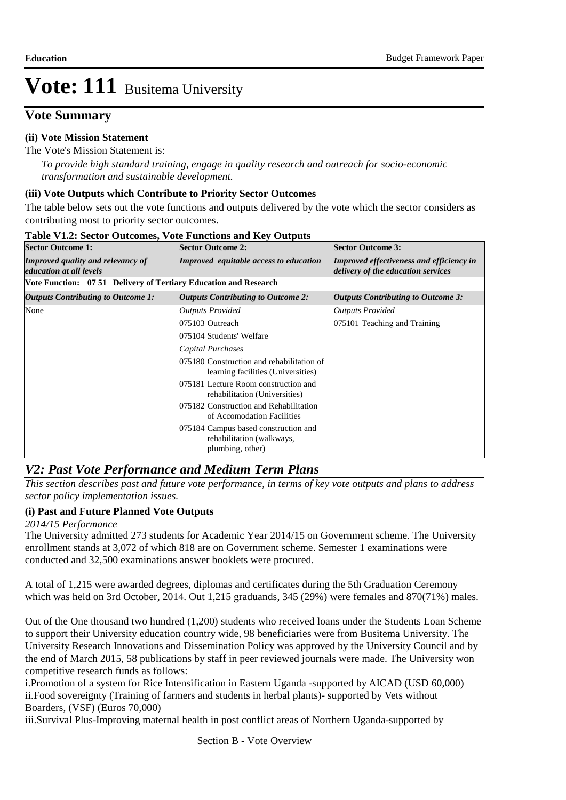### **Vote Summary**

### **(ii) Vote Mission Statement**

The Vote's Mission Statement is:

*To provide high standard training, engage in quality research and outreach for socio-economic transformation and sustainable development.*

### **(iii) Vote Outputs which Contribute to Priority Sector Outcomes**

The table below sets out the vote functions and outputs delivered by the vote which the sector considers as contributing most to priority sector outcomes.

| <b>Sector Outcome 1:</b>                                            | <b>Sector Outcome 2:</b>                                                              | <b>Sector Outcome 3:</b>                                                              |
|---------------------------------------------------------------------|---------------------------------------------------------------------------------------|---------------------------------------------------------------------------------------|
| <b>Improved quality and relevancy of</b><br>education at all levels | <b>Improved</b> equitable access to education                                         | <b>Improved effectiveness and efficiency in</b><br>delivery of the education services |
| Vote Function: 07 51 Delivery of Tertiary Education and Research    |                                                                                       |                                                                                       |
| <b>Outputs Contributing to Outcome 1:</b>                           | <b>Outputs Contributing to Outcome 2:</b>                                             | <b>Outputs Contributing to Outcome 3:</b>                                             |
| None                                                                | <b>Outputs Provided</b>                                                               | <b>Outputs Provided</b>                                                               |
|                                                                     | 075103 Outreach                                                                       | 075101 Teaching and Training                                                          |
|                                                                     | 075104 Students' Welfare                                                              |                                                                                       |
|                                                                     | Capital Purchases                                                                     |                                                                                       |
|                                                                     | 075180 Construction and rehabilitation of<br>learning facilities (Universities)       |                                                                                       |
|                                                                     | 075181 Lecture Room construction and<br>rehabilitation (Universities)                 |                                                                                       |
|                                                                     | 075182 Construction and Rehabilitation<br>of Accomodation Facilities                  |                                                                                       |
|                                                                     | 075184 Campus based construction and<br>rehabilitation (walkways,<br>plumbing, other) |                                                                                       |

#### **Table V1.2: Sector Outcomes, Vote Functions and Key Outputs**

### *V2: Past Vote Performance and Medium Term Plans*

*This section describes past and future vote performance, in terms of key vote outputs and plans to address sector policy implementation issues.* 

### **(i) Past and Future Planned Vote Outputs**

#### *2014/15 Performance*

The University admitted 273 students for Academic Year 2014/15 on Government scheme. The University enrollment stands at 3,072 of which 818 are on Government scheme. Semester 1 examinations were conducted and 32,500 examinations answer booklets were procured.

A total of 1,215 were awarded degrees, diplomas and certificates during the 5th Graduation Ceremony which was held on 3rd October, 2014. Out 1,215 graduands, 345 (29%) were females and 870(71%) males.

Out of the One thousand two hundred (1,200) students who received loans under the Students Loan Scheme to support their University education country wide, 98 beneficiaries were from Busitema University. The University Research Innovations and Dissemination Policy was approved by the University Council and by the end of March 2015, 58 publications by staff in peer reviewed journals were made. The University won competitive research funds as follows:

i. Promotion of a system for Rice Intensification in Eastern Uganda -supported by AICAD (USD 60,000) ii. Food sovereignty (Training of farmers and students in herbal plants)- supported by Vets without Boarders, (VSF) (Euros 70,000)

iii.Survival Plus-Improving maternal health in post conflict areas of Northern Uganda-supported by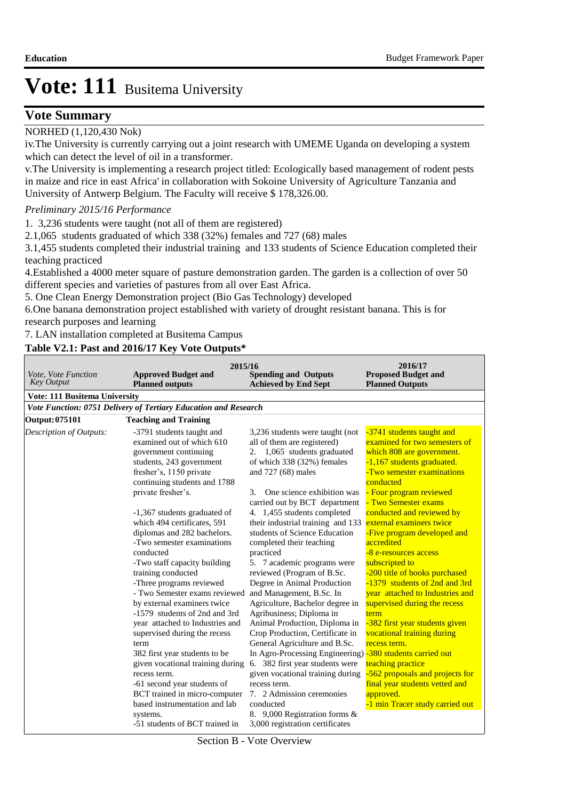### **Vote Summary**

### NORHED (1,120,430 Nok)

iv. The University is currently carrying out a joint research with UMEME Uganda on developing a system which can detect the level of oil in a transformer.

v. The University is implementing a research project titled: Ecologically based management of rodent pests in maize and rice in east Africa' in collaboration with Sokoine University of Agriculture Tanzania and University of Antwerp Belgium. The Faculty will receive \$ 178,326.00.

#### *Preliminary 2015/16 Performance*

1. 3,236 students were taught (not all of them are registered)

2.1,065 students graduated of which  $338$  (32%) females and  $727$  (68) males

3.1,455 students completed their industrial training and 133 students of Science Education completed their teaching practiced

4. Established a 4000 meter square of pasture demonstration garden. The garden is a collection of over 50 different species and varieties of pastures from all over East Africa.

5. One Clean Energy Demonstration project (Bio Gas Technology) developed

6. One banana demonstration project established with variety of drought resistant banana. This is for research purposes and learning

7. LAN installation completed at Busitema Campus

### **Table V2.1: Past and 2016/17 Key Vote Outputs\***

| Vote, Vote Function<br><b>Key Output</b> | 2015/16<br><b>Approved Budget and</b><br><b>Planned outputs</b>                                                                                                                                                                                                                                                                                                                                                                                                                                                                                                                                                                                                                                                                                                                                                                         | <b>Spending and Outputs</b><br><b>Achieved by End Sept</b>                                                                                                                                                                                                                                                                                                                                                                                                                                                                                                                                                                                                                                                                                                                                                                                                                                                                         | 2016/17<br><b>Proposed Budget and</b><br><b>Planned Outputs</b>                                                                                                                                                                                                                                                                                                                                                                                                                                                                                                                                                                                                                                                                             |
|------------------------------------------|-----------------------------------------------------------------------------------------------------------------------------------------------------------------------------------------------------------------------------------------------------------------------------------------------------------------------------------------------------------------------------------------------------------------------------------------------------------------------------------------------------------------------------------------------------------------------------------------------------------------------------------------------------------------------------------------------------------------------------------------------------------------------------------------------------------------------------------------|------------------------------------------------------------------------------------------------------------------------------------------------------------------------------------------------------------------------------------------------------------------------------------------------------------------------------------------------------------------------------------------------------------------------------------------------------------------------------------------------------------------------------------------------------------------------------------------------------------------------------------------------------------------------------------------------------------------------------------------------------------------------------------------------------------------------------------------------------------------------------------------------------------------------------------|---------------------------------------------------------------------------------------------------------------------------------------------------------------------------------------------------------------------------------------------------------------------------------------------------------------------------------------------------------------------------------------------------------------------------------------------------------------------------------------------------------------------------------------------------------------------------------------------------------------------------------------------------------------------------------------------------------------------------------------------|
| <b>Vote: 111 Busitema University</b>     |                                                                                                                                                                                                                                                                                                                                                                                                                                                                                                                                                                                                                                                                                                                                                                                                                                         |                                                                                                                                                                                                                                                                                                                                                                                                                                                                                                                                                                                                                                                                                                                                                                                                                                                                                                                                    |                                                                                                                                                                                                                                                                                                                                                                                                                                                                                                                                                                                                                                                                                                                                             |
|                                          | Vote Function: 0751 Delivery of Tertiary Education and Research                                                                                                                                                                                                                                                                                                                                                                                                                                                                                                                                                                                                                                                                                                                                                                         |                                                                                                                                                                                                                                                                                                                                                                                                                                                                                                                                                                                                                                                                                                                                                                                                                                                                                                                                    |                                                                                                                                                                                                                                                                                                                                                                                                                                                                                                                                                                                                                                                                                                                                             |
| <b>Output: 075101</b>                    | <b>Teaching and Training</b>                                                                                                                                                                                                                                                                                                                                                                                                                                                                                                                                                                                                                                                                                                                                                                                                            |                                                                                                                                                                                                                                                                                                                                                                                                                                                                                                                                                                                                                                                                                                                                                                                                                                                                                                                                    |                                                                                                                                                                                                                                                                                                                                                                                                                                                                                                                                                                                                                                                                                                                                             |
| Description of Outputs:                  | -3791 students taught and<br>examined out of which 610<br>government continuing<br>students, 243 government<br>fresher's, 1150 private<br>continuing students and 1788<br>private fresher's.<br>-1,367 students graduated of<br>which 494 certificates, 591<br>diplomas and 282 bachelors.<br>-Two semester examinations<br>conducted<br>-Two staff capacity building<br>training conducted<br>-Three programs reviewed<br>- Two Semester exams reviewed<br>by external examiners twice<br>-1579 students of 2nd and 3rd<br>year attached to Industries and<br>supervised during the recess<br>term<br>382 first year students to be<br>given vocational training during<br>recess term.<br>-61 second year students of<br>BCT trained in micro-computer<br>based instrumentation and lab<br>systems.<br>-51 students of BCT trained in | 3,236 students were taught (not<br>all of them are registered)<br>2. 1,065 students graduated<br>of which 338 (32%) females<br>and 727 (68) males<br>One science exhibition was<br>3.<br>carried out by BCT department<br>4. 1,455 students completed<br>their industrial training and 133<br>students of Science Education<br>completed their teaching<br>practiced<br>5. 7 academic programs were<br>reviewed (Program of B.Sc.<br>Degree in Animal Production<br>and Management, B.Sc. In<br>Agriculture, Bachelor degree in<br>Agribusiness; Diploma in<br>Animal Production, Diploma in<br>Crop Production, Certificate in<br>General Agriculture and B.Sc.<br>In Agro-Processing Engineering) -380 students carried out<br>6. 382 first year students were<br>given vocational training during<br>recess term.<br>7. 2 Admission ceremonies<br>conducted<br>8. 9,000 Registration forms &<br>3,000 registration certificates | -3741 students taught and<br>examined for two semesters of<br>which 808 are government.<br>-1,167 students graduated.<br>-Two semester examinations<br>conducted<br>- Four program reviewed<br>- Two Semester exams<br>conducted and reviewed by<br>external examiners twice<br>-Five program developed and<br>accredited<br>-8 e-resources access<br>subscripted to<br>-200 title of books purchased<br>-1379 students of 2nd and 3rd<br>year attached to Industries and<br>supervised during the recess<br>term<br>-382 first year students given<br>vocational training during<br>recess term.<br>teaching practice<br>-562 proposals and projects for<br>final year students vetted and<br>approved.<br>-1 min Tracer study carried out |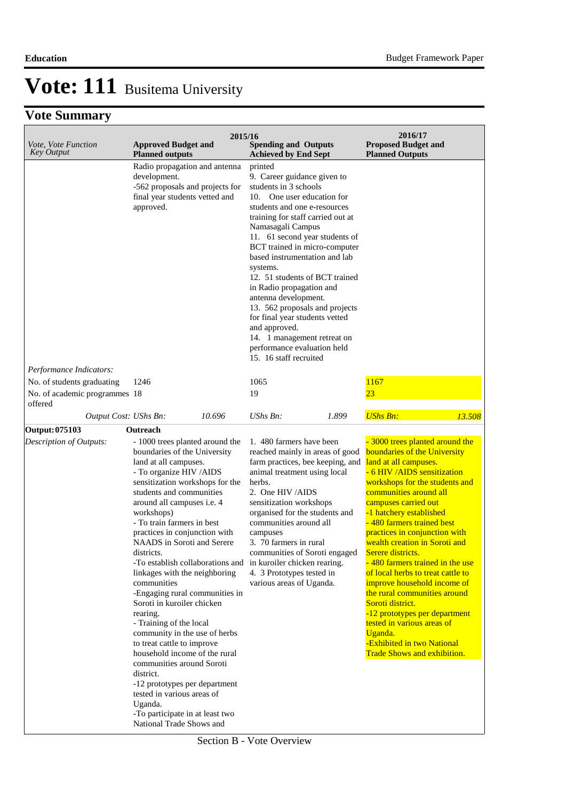## **Vote Summary**

| Vote, Vote Function<br><b>Key Output</b>                               | <b>Approved Budget and</b><br><b>Planned outputs</b>                                                                                                                                                                                                                                                                                                                                                                                                                                                                                                                                                                                                                                                                                                                                                                                                 | 2015/16 | <b>Spending and Outputs</b><br><b>Achieved by End Sept</b>                                                                                                                                                                                                                                                                                                                                                                                                                                                                                                                 |       | 2016/17<br><b>Proposed Budget and</b><br><b>Planned Outputs</b>                                                                                                                                                                                                                                                                                                                                                                                                                                                                                                                                                                                                      |        |
|------------------------------------------------------------------------|------------------------------------------------------------------------------------------------------------------------------------------------------------------------------------------------------------------------------------------------------------------------------------------------------------------------------------------------------------------------------------------------------------------------------------------------------------------------------------------------------------------------------------------------------------------------------------------------------------------------------------------------------------------------------------------------------------------------------------------------------------------------------------------------------------------------------------------------------|---------|----------------------------------------------------------------------------------------------------------------------------------------------------------------------------------------------------------------------------------------------------------------------------------------------------------------------------------------------------------------------------------------------------------------------------------------------------------------------------------------------------------------------------------------------------------------------------|-------|----------------------------------------------------------------------------------------------------------------------------------------------------------------------------------------------------------------------------------------------------------------------------------------------------------------------------------------------------------------------------------------------------------------------------------------------------------------------------------------------------------------------------------------------------------------------------------------------------------------------------------------------------------------------|--------|
|                                                                        | Radio propagation and antenna<br>development.<br>-562 proposals and projects for<br>final year students vetted and<br>approved.                                                                                                                                                                                                                                                                                                                                                                                                                                                                                                                                                                                                                                                                                                                      |         | printed<br>9. Career guidance given to<br>students in 3 schools<br>10. One user education for<br>students and one e-resources<br>training for staff carried out at<br>Namasagali Campus<br>11. 61 second year students of<br>BCT trained in micro-computer<br>based instrumentation and lab<br>systems.<br>12. 51 students of BCT trained<br>in Radio propagation and<br>antenna development.<br>13. 562 proposals and projects<br>for final year students vetted<br>and approved.<br>14. 1 management retreat on<br>performance evaluation held<br>15. 16 staff recruited |       |                                                                                                                                                                                                                                                                                                                                                                                                                                                                                                                                                                                                                                                                      |        |
| Performance Indicators:                                                |                                                                                                                                                                                                                                                                                                                                                                                                                                                                                                                                                                                                                                                                                                                                                                                                                                                      |         |                                                                                                                                                                                                                                                                                                                                                                                                                                                                                                                                                                            |       |                                                                                                                                                                                                                                                                                                                                                                                                                                                                                                                                                                                                                                                                      |        |
| No. of students graduating<br>No. of academic programmes 18<br>offered | 1246                                                                                                                                                                                                                                                                                                                                                                                                                                                                                                                                                                                                                                                                                                                                                                                                                                                 |         | 1065<br>19                                                                                                                                                                                                                                                                                                                                                                                                                                                                                                                                                                 |       | 1167<br>23                                                                                                                                                                                                                                                                                                                                                                                                                                                                                                                                                                                                                                                           |        |
| Output Cost: UShs Bn:                                                  | 10.696                                                                                                                                                                                                                                                                                                                                                                                                                                                                                                                                                                                                                                                                                                                                                                                                                                               |         | UShs Bn:                                                                                                                                                                                                                                                                                                                                                                                                                                                                                                                                                                   | 1.899 | <b>UShs Bn:</b>                                                                                                                                                                                                                                                                                                                                                                                                                                                                                                                                                                                                                                                      | 13.508 |
| <b>Output: 075103</b>                                                  | Outreach                                                                                                                                                                                                                                                                                                                                                                                                                                                                                                                                                                                                                                                                                                                                                                                                                                             |         |                                                                                                                                                                                                                                                                                                                                                                                                                                                                                                                                                                            |       |                                                                                                                                                                                                                                                                                                                                                                                                                                                                                                                                                                                                                                                                      |        |
| Description of Outputs:                                                | - 1000 trees planted around the<br>boundaries of the University<br>land at all campuses.<br>- To organize HIV /AIDS<br>sensitization workshops for the<br>students and communities<br>around all campuses i.e. 4<br>workshops)<br>- To train farmers in best<br>practices in conjunction with<br>NAADS in Soroti and Serere<br>districts.<br>-To establish collaborations and in kuroiler chicken rearing.<br>linkages with the neighboring<br>communities<br>-Engaging rural communities in<br>Soroti in kuroiler chicken<br>rearing.<br>- Training of the local<br>community in the use of herbs<br>to treat cattle to improve<br>household income of the rural<br>communities around Soroti<br>district.<br>-12 prototypes per department<br>tested in various areas of<br>Uganda.<br>-To participate in at least two<br>National Trade Shows and |         | 1.480 farmers have been<br>reached mainly in areas of good<br>farm practices, bee keeping, and<br>animal treatment using local<br>herbs.<br>2. One HIV /AIDS<br>sensitization workshops<br>organised for the students and<br>communities around all<br>campuses<br>3. 70 farmers in rural<br>communities of Soroti engaged<br>4. 3 Prototypes tested in<br>various areas of Uganda.                                                                                                                                                                                        |       | - 3000 trees planted around the<br>boundaries of the University<br>land at all campuses.<br>- 6 HIV / AIDS sensitization<br>workshops for the students and<br>communities around all<br>campuses carried out<br>-1 hatchery established<br>480 farmers trained best<br>practices in conjunction with<br>wealth creation in Soroti and<br>Serere districts.<br>- 480 farmers trained in the use<br>of local herbs to treat cattle to<br>improve household income of<br>the rural communities around<br>Soroti district.<br>-12 prototypes per department<br>tested in various areas of<br>Uganda.<br>-Exhibited in two National<br><b>Trade Shows and exhibition.</b> |        |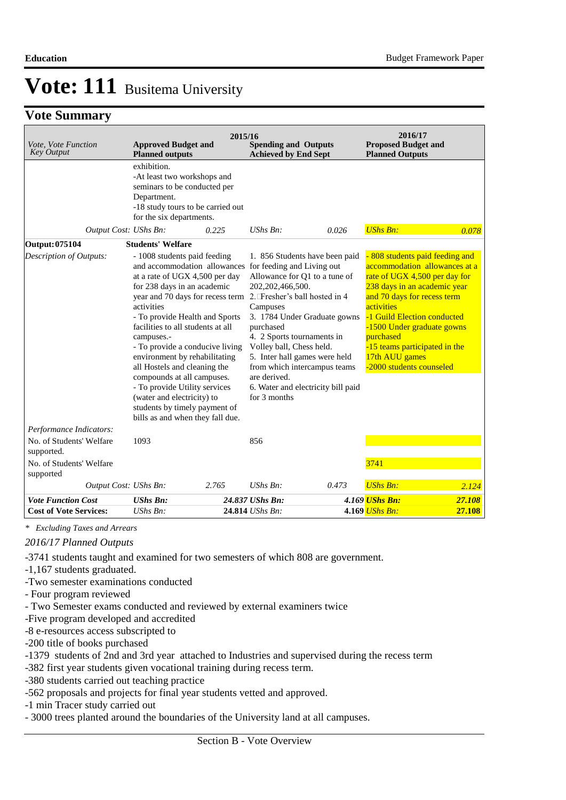### **Vote Summary**

| Vote, Vote Function<br><b>Key Output</b> | <b>Approved Budget and</b><br><b>Planned outputs</b>                                                                                                                                                                                                                                                                                                                                                                                                                                                                                                                     | 2015/16 | <b>Spending and Outputs</b><br><b>Achieved by End Sept</b>                                                                                                                                                                                                             |                                                                                                      | 2016/17<br><b>Proposed Budget and</b><br><b>Planned Outputs</b>                                                                                                                                                                                                                                        |                               |
|------------------------------------------|--------------------------------------------------------------------------------------------------------------------------------------------------------------------------------------------------------------------------------------------------------------------------------------------------------------------------------------------------------------------------------------------------------------------------------------------------------------------------------------------------------------------------------------------------------------------------|---------|------------------------------------------------------------------------------------------------------------------------------------------------------------------------------------------------------------------------------------------------------------------------|------------------------------------------------------------------------------------------------------|--------------------------------------------------------------------------------------------------------------------------------------------------------------------------------------------------------------------------------------------------------------------------------------------------------|-------------------------------|
|                                          | exhibition.<br>-At least two workshops and<br>seminars to be conducted per<br>Department.<br>-18 study tours to be carried out<br>for the six departments.                                                                                                                                                                                                                                                                                                                                                                                                               |         |                                                                                                                                                                                                                                                                        |                                                                                                      |                                                                                                                                                                                                                                                                                                        |                               |
| Output Cost: UShs Bn:                    |                                                                                                                                                                                                                                                                                                                                                                                                                                                                                                                                                                          | 0.225   | $UShs Bn$ :                                                                                                                                                                                                                                                            | 0.026                                                                                                | <b>UShs Bn:</b>                                                                                                                                                                                                                                                                                        | 0.078                         |
| <b>Output: 075104</b>                    | <b>Students' Welfare</b>                                                                                                                                                                                                                                                                                                                                                                                                                                                                                                                                                 |         |                                                                                                                                                                                                                                                                        |                                                                                                      |                                                                                                                                                                                                                                                                                                        |                               |
| Description of Outputs:                  | - 1008 students paid feeding<br>and accommodation allowances<br>at a rate of UGX 4,500 per day<br>for 238 days in an academic<br>year and 70 days for recess term 2. Fresher's ball hosted in 4<br>activities<br>- To provide Health and Sports<br>facilities to all students at all<br>campuses.-<br>- To provide a conducive living<br>environment by rehabilitating<br>all Hostels and cleaning the<br>compounds at all campuses.<br>- To provide Utility services<br>(water and electricity) to<br>students by timely payment of<br>bills as and when they fall due. |         | for feeding and Living out<br>Allowance for Q1 to a tune of<br>202, 202, 466, 500.<br>Campuses<br>purchased<br>4. 2 Sports tournaments in<br>Volley ball, Chess held.<br>5. Inter hall games were held<br>from which intercampus teams<br>are derived.<br>for 3 months | 1. 856 Students have been paid<br>3. 1784 Under Graduate gowns<br>6. Water and electricity bill paid | - 808 students paid feeding and<br>rate of UGX 4,500 per day for<br>238 days in an academic year<br>and 70 days for recess term<br>activities<br>-1 Guild Election conducted<br>-1500 Under graduate gowns<br>purchased<br>-15 teams participated in the<br>17th AUU games<br>-2000 students counseled | accommodation allowances at a |
| Performance Indicators:                  |                                                                                                                                                                                                                                                                                                                                                                                                                                                                                                                                                                          |         |                                                                                                                                                                                                                                                                        |                                                                                                      |                                                                                                                                                                                                                                                                                                        |                               |
| No. of Students' Welfare<br>supported.   | 1093                                                                                                                                                                                                                                                                                                                                                                                                                                                                                                                                                                     |         | 856                                                                                                                                                                                                                                                                    |                                                                                                      |                                                                                                                                                                                                                                                                                                        |                               |
| No. of Students' Welfare<br>supported    |                                                                                                                                                                                                                                                                                                                                                                                                                                                                                                                                                                          |         |                                                                                                                                                                                                                                                                        |                                                                                                      | 3741                                                                                                                                                                                                                                                                                                   |                               |
| Output Cost: UShs Bn:                    |                                                                                                                                                                                                                                                                                                                                                                                                                                                                                                                                                                          | 2.765   | $UShs Bn$ :                                                                                                                                                                                                                                                            | 0.473                                                                                                | <b>UShs Bn:</b>                                                                                                                                                                                                                                                                                        | 2.124                         |
| <b>Vote Function Cost</b>                | <b>UShs Bn:</b>                                                                                                                                                                                                                                                                                                                                                                                                                                                                                                                                                          |         | 24.837 UShs Bn:                                                                                                                                                                                                                                                        |                                                                                                      | 4.169 UShs Bn:                                                                                                                                                                                                                                                                                         | 27.108                        |
| <b>Cost of Vote Services:</b>            | UShs Bn:                                                                                                                                                                                                                                                                                                                                                                                                                                                                                                                                                                 |         | 24.814 UShs Bn:                                                                                                                                                                                                                                                        |                                                                                                      | 4.169 UShs Bn:                                                                                                                                                                                                                                                                                         | 27.108                        |

*\* Excluding Taxes and Arrears*

*2016/17 Planned Outputs*

-3741 students taught and examined for two semesters of which 808 are government.

- -1,167 students graduated.
- -Two semester examinations conducted
- Four program reviewed
- Two Semester exams conducted and reviewed by external examiners twice
- -Five program developed and accredited
- -8 e-resources access subscripted to
- -200 title of books purchased
- -1379 students of 2nd and 3rd year attached to Industries and supervised during the recess term
- -382 first year students given vocational training during recess term.
- -380 students carried out teaching practice
- -562 proposals and projects for final year students vetted and approved.
- -1 min Tracer study carried out
- 3000 trees planted around the boundaries of the University land at all campuses.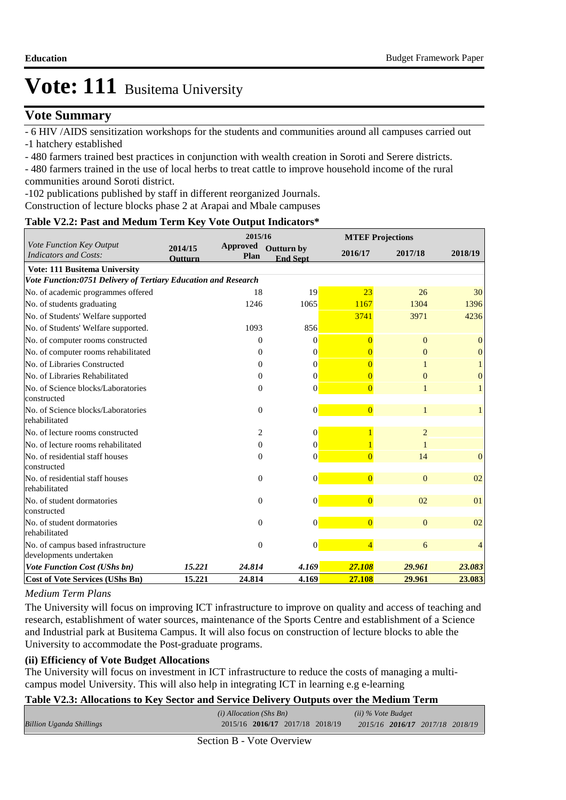### **Vote Summary**

- 6 HIV /AIDS sensitization workshops for the students and communities around all campuses carried out

-1 hatchery established

- 480 farmers trained best practices in conjunction with wealth creation in Soroti and Serere districts.

- 480 farmers trained in the use of local herbs to treat cattle to improve household income of the rural communities around Soroti district.

-102 publications published by staff in different reorganized Journals.

Construction of lecture blocks phase 2 at Arapai and Mbale campuses

### **Table V2.2: Past and Medum Term Key Vote Output Indicators\***

|                                                                |                           | 2015/16                 |                                      |                | <b>MTEF Projections</b> |                  |
|----------------------------------------------------------------|---------------------------|-------------------------|--------------------------------------|----------------|-------------------------|------------------|
| Vote Function Key Output<br><b>Indicators and Costs:</b>       | 2014/15<br><b>Outturn</b> | <b>Approved</b><br>Plan | <b>Outturn by</b><br><b>End Sept</b> | 2016/17        | 2017/18                 | 2018/19          |
| <b>Vote: 111 Busitema University</b>                           |                           |                         |                                      |                |                         |                  |
| Vote Function:0751 Delivery of Tertiary Education and Research |                           |                         |                                      |                |                         |                  |
| No. of academic programmes offered                             |                           | 18                      | 19                                   | 23             | 26                      | 30               |
| No. of students graduating                                     |                           | 1246                    | 1065                                 | 1167           | 1304                    | 1396             |
| No. of Students' Welfare supported                             |                           |                         |                                      | 3741           | 3971                    | 4236             |
| No. of Students' Welfare supported.                            |                           | 1093                    | 856                                  |                |                         |                  |
| No. of computer rooms constructed                              |                           | $\mathbf{0}$            | $\Omega$                             | $\Omega$       | $\mathbf{0}$            | $\boldsymbol{0}$ |
| No. of computer rooms rehabilitated                            |                           | 0                       | $\Omega$                             |                | $\overline{0}$          | $\mathbf{0}$     |
| No. of Libraries Constructed                                   |                           | 0                       | $\Omega$                             |                |                         |                  |
| No. of Libraries Rehabilitated                                 |                           | $\mathbf{0}$            | $\theta$                             | $\Omega$       | $\Omega$                | $\overline{0}$   |
| No. of Science blocks/Laboratories                             |                           | $\mathbf{0}$            | $\Omega$                             | $\overline{0}$ |                         | 1                |
| constructed                                                    |                           |                         |                                      |                |                         |                  |
| No. of Science blocks/Laboratories                             |                           | $\mathbf{0}$            | $\vert 0 \vert$                      | $\overline{0}$ | 1                       | 1                |
| rehabilitated                                                  |                           |                         |                                      |                |                         |                  |
| No. of lecture rooms constructed                               |                           | 2                       | $\overline{0}$                       |                | $\overline{2}$          |                  |
| No. of lecture rooms rehabilitated                             |                           | $\mathbf{0}$            | $\Omega$                             |                |                         |                  |
| No. of residential staff houses                                |                           | $\boldsymbol{0}$        | $\theta$                             | $\overline{0}$ | 14                      | $\mathbf{0}$     |
| constructed                                                    |                           |                         |                                      |                |                         |                  |
| No. of residential staff houses                                |                           | $\mathbf{0}$            | $\Omega$                             | $\overline{0}$ | $\Omega$                | 02               |
| rehabilitated                                                  |                           |                         |                                      |                |                         |                  |
| No. of student dormatories<br>constructed                      |                           | $\theta$                | $\overline{0}$                       | $\overline{0}$ | 02                      | 01               |
| No. of student dormatories                                     |                           |                         |                                      | $\overline{0}$ | $\overline{0}$          | 02               |
| rehabilitated                                                  |                           | $\mathbf{0}$            | $\overline{0}$                       |                |                         |                  |
| No. of campus based infrastructure                             |                           | $\theta$                | $\overline{0}$                       | $\overline{4}$ | 6                       | 4                |
| developments undertaken                                        |                           |                         |                                      |                |                         |                  |
| <b>Vote Function Cost (UShs bn)</b>                            | 15.221                    | 24.814                  | 4.169                                | 27.108         | 29.961                  | 23.083           |
| <b>Cost of Vote Services (UShs Bn)</b>                         | 15.221                    | 24.814                  | 4.169                                | 27.108         | 29.961                  | 23.083           |

#### *Medium Term Plans*

The University will focus on improving ICT infrastructure to improve on quality and access of teaching and research, establishment of water sources, maintenance of the Sports Centre and establishment of a Science and Industrial park at Busitema Campus. It will also focus on construction of lecture blocks to able the University to accommodate the Post-graduate programs.

### **(ii) Efficiency of Vote Budget Allocations**

The University will focus on investment in ICT infrastructure to reduce the costs of managing a multicampus model University. This will also help in integrating ICT in learning e.g e-learning

#### **Table V2.3: Allocations to Key Sector and Service Delivery Outputs over the Medium Term**

|                                 | $(i)$ Allocation (Shs Bn)       |  | (ii) % Vote Budget              |  |  |
|---------------------------------|---------------------------------|--|---------------------------------|--|--|
| <b>Billion Uganda Shillings</b> | 2015/16 2016/17 2017/18 2018/19 |  | 2015/16 2016/17 2017/18 2018/19 |  |  |
|                                 |                                 |  |                                 |  |  |

Section B - Vote Overview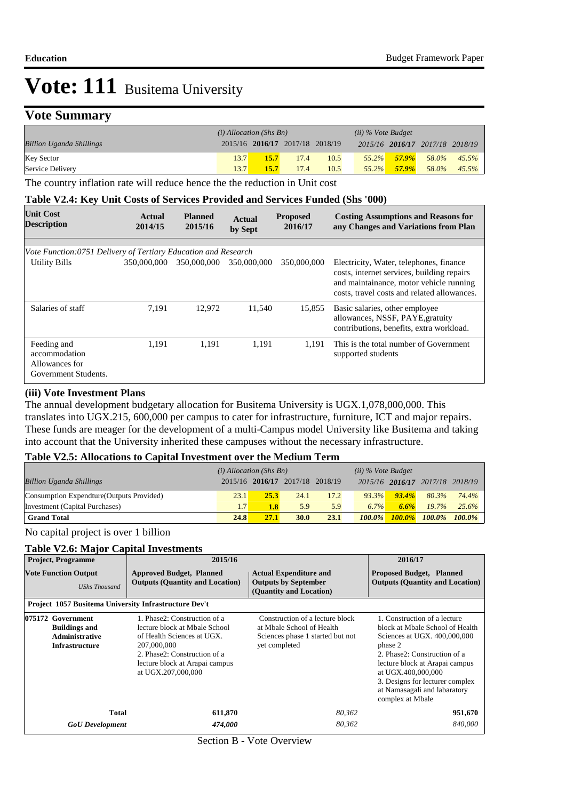### **Vote Summary**

|                                 | $(i)$ Allocation (Shs Bn) |                                 |      | $(ii)$ % Vote Budget |          |          |                                 |          |
|---------------------------------|---------------------------|---------------------------------|------|----------------------|----------|----------|---------------------------------|----------|
| <b>Billion Uganda Shillings</b> |                           | 2015/16 2016/17 2017/18 2018/19 |      |                      |          |          | 2015/16 2016/17 2017/18 2018/19 |          |
| <b>Key Sector</b>               | 13.7                      | 15.7                            | 17.4 | 10.5                 | $55.2\%$ | $57.9\%$ | 58.0%                           | $45.5\%$ |
| Service Delivery                | 13.7                      | 15.7                            | 17.4 | 10.5                 | $55.2\%$ | $57.9\%$ | 58.0%                           | $45.5\%$ |

The country inflation rate will reduce hence the the reduction in Unit cost

#### **Table V2.4: Key Unit Costs of Services Provided and Services Funded (Shs '000)**

| <b>Unit Cost</b><br><b>Description</b>                                 | Actual<br>2014/15 | <b>Planned</b><br>2015/16 | <b>Actual</b><br>by Sept | <b>Proposed</b><br>2016/17 | <b>Costing Assumptions and Reasons for</b><br>any Changes and Variations from Plan                                                                                              |
|------------------------------------------------------------------------|-------------------|---------------------------|--------------------------|----------------------------|---------------------------------------------------------------------------------------------------------------------------------------------------------------------------------|
| Vote Function:0751 Delivery of Tertiary Education and Research         |                   |                           |                          |                            |                                                                                                                                                                                 |
| Utility Bills                                                          | 350,000,000       | 350,000,000               | 350,000,000              | 350,000,000                | Electricity, Water, telephones, finance<br>costs, internet services, building repairs<br>and maintainance, motor vehicle running<br>costs, travel costs and related allowances. |
| Salaries of staff                                                      | 7,191             | 12,972                    | 11,540                   | 15,855                     | Basic salaries, other employee<br>allowances, NSSF, PAYE, gratuity<br>contributions, benefits, extra workload.                                                                  |
| Feeding and<br>accommodation<br>Allowances for<br>Government Students. | 1.191             | 1.191                     | 1,191                    | 1.191                      | This is the total number of Government<br>supported students                                                                                                                    |

#### **(iii) Vote Investment Plans**

The annual development budgetary allocation for Busitema University is UGX.1,078,000,000. This translates into UGX.215, 600,000 per campus to cater for infrastructure, furniture, ICT and major repairs. These funds are meager for the development of a multi-Campus model University like Busitema and taking into account that the University inherited these campuses without the necessary infrastructure.

### **Table V2.5: Allocations to Capital Investment over the Medium Term**

|                                           | $(i)$ Allocation (Shs Bn) |                                 |             |      | $(ii)$ % Vote Budget |          |                                 |           |
|-------------------------------------------|---------------------------|---------------------------------|-------------|------|----------------------|----------|---------------------------------|-----------|
| <b>Billion Uganda Shillings</b>           |                           | 2015/16 2016/17 2017/18 2018/19 |             |      |                      |          | 2015/16 2016/17 2017/18 2018/19 |           |
| Consumption Expendture (Outputs Provided) | 23.1                      | 25.3                            | 24.1        | 17.2 | $93.3\%$             | $93.4\%$ | 80.3%                           | 74.4%     |
| Investment (Capital Purchases)            | 1.7                       | 1.8                             | 5.9         | 5.9  | $6.7\%$              | 6.6%     | 19.7%                           | 25.6%     |
| <b>Grand Total</b>                        | 24.8                      | 27.1                            | <b>30.0</b> | 23.1 | $100.0\%$            |          | $100.0\%$ $100.0\%$             | $100.0\%$ |

No capital project is over 1 billion

### **Table V2.6: Major Capital Investments**

| <b>Project, Programme</b>                                                                   | 2015/16                                                                                                                                                                                            |                                                                                                                   | 2016/17                                                                                                                                                                                                                                                                                   |
|---------------------------------------------------------------------------------------------|----------------------------------------------------------------------------------------------------------------------------------------------------------------------------------------------------|-------------------------------------------------------------------------------------------------------------------|-------------------------------------------------------------------------------------------------------------------------------------------------------------------------------------------------------------------------------------------------------------------------------------------|
| <b>Vote Function Output</b><br><b>UShs Thousand</b>                                         | <b>Approved Budget, Planned</b><br><b>Outputs (Quantity and Location)</b>                                                                                                                          | <b>Actual Expenditure and</b><br><b>Outputs by September</b><br>(Quantity and Location)                           | <b>Proposed Budget, Planned</b><br><b>Outputs (Quantity and Location)</b>                                                                                                                                                                                                                 |
| Project 1057 Busitema University Infrastructure Dev't                                       |                                                                                                                                                                                                    |                                                                                                                   |                                                                                                                                                                                                                                                                                           |
| 075172 Government<br><b>Buildings and</b><br><b>Administrative</b><br><b>Infrastructure</b> | 1. Phase2: Construction of a<br>lecture block at Mbale School<br>of Health Sciences at UGX.<br>207,000,000<br>2. Phase2: Construction of a<br>lecture block at Arapai campus<br>at UGX.207,000,000 | Construction of a lecture block<br>at Mbale School of Health<br>Sciences phase 1 started but not<br>yet completed | 1. Construction of a lecture<br>block at Mbale School of Health<br>Sciences at UGX. 400,000,000<br>phase 2<br>2. Phase2: Construction of a<br>lecture block at Arapai campus<br>at UGX.400,000,000<br>3. Designs for lecturer complex<br>at Namasagali and labaratory<br>complex at Mbale |
| Total                                                                                       | 611,870                                                                                                                                                                                            | 80,362                                                                                                            | 951,670                                                                                                                                                                                                                                                                                   |
| <b>GoU</b> Development                                                                      | 474,000                                                                                                                                                                                            | 80,362                                                                                                            | 840,000                                                                                                                                                                                                                                                                                   |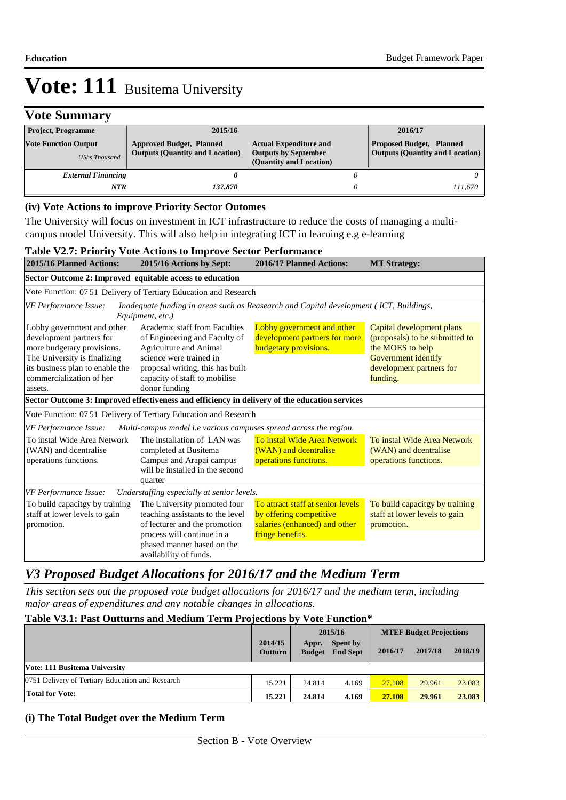## **Vote Summary**

| <b>Project, Programme</b>                           | 2015/16                                                                   |                                                                                         | 2016/17                                                                   |
|-----------------------------------------------------|---------------------------------------------------------------------------|-----------------------------------------------------------------------------------------|---------------------------------------------------------------------------|
| <b>Vote Function Output</b><br><b>UShs Thousand</b> | <b>Approved Budget, Planned</b><br><b>Outputs (Quantity and Location)</b> | <b>Actual Expenditure and</b><br><b>Outputs by September</b><br>(Quantity and Location) | <b>Proposed Budget, Planned</b><br><b>Outputs (Quantity and Location)</b> |
| <b>External Financing</b>                           |                                                                           |                                                                                         |                                                                           |
| NTR                                                 | 137.870                                                                   |                                                                                         | 111.670                                                                   |

#### **(iv) Vote Actions to improve Priority Sector Outomes**

The University will focus on investment in ICT infrastructure to reduce the costs of managing a multicampus model University. This will also help in integrating ICT in learning e.g e-learning

#### **Table V2.7: Priority Vote Actions to Improve Sector Performance**

| <b>2015/16 Planned Actions:</b>                                                                                                                                                                | 2015/16 Actions by Sept:                                                                                                                                                                                  | 2016/17 Planned Actions:                                                                                          | <b>MT Strategy:</b>                                                                                                                            |
|------------------------------------------------------------------------------------------------------------------------------------------------------------------------------------------------|-----------------------------------------------------------------------------------------------------------------------------------------------------------------------------------------------------------|-------------------------------------------------------------------------------------------------------------------|------------------------------------------------------------------------------------------------------------------------------------------------|
| Sector Outcome 2: Improved equitable access to education                                                                                                                                       |                                                                                                                                                                                                           |                                                                                                                   |                                                                                                                                                |
|                                                                                                                                                                                                | Vote Function: 0751 Delivery of Tertiary Education and Research                                                                                                                                           |                                                                                                                   |                                                                                                                                                |
| VF Performance Issue:                                                                                                                                                                          | Inadequate funding in areas such as Reasearch and Capital development (ICT, Buildings,<br>Equipment, etc.)                                                                                                |                                                                                                                   |                                                                                                                                                |
| Lobby government and other<br>development partners for<br>more budgetary provisions.<br>The University is finalizing<br>its business plan to enable the<br>commercialization of her<br>assets. | Academic staff from Faculties<br>of Engineering and Faculty of<br>Agriculture and Animal<br>science were trained in<br>proposal writing, this has built<br>capacity of staff to mobilise<br>donor funding | Lobby government and other<br>development partners for more<br>budgetary provisions.                              | Capital development plans<br>(proposals) to be submitted to<br>the MOES to help<br>Government identify<br>development partners for<br>funding. |
|                                                                                                                                                                                                | Sector Outcome 3: Improved effectiveness and efficiency in delivery of the education services                                                                                                             |                                                                                                                   |                                                                                                                                                |
|                                                                                                                                                                                                | Vote Function: 07 51 Delivery of Tertiary Education and Research                                                                                                                                          |                                                                                                                   |                                                                                                                                                |
| VF Performance Issue:                                                                                                                                                                          | Multi-campus model <i>i.e</i> various campuses spread across the region.                                                                                                                                  |                                                                                                                   |                                                                                                                                                |
| To instal Wide Area Network<br>(WAN) and dcentralise<br>operations functions.                                                                                                                  | The installation of LAN was<br>completed at Busitema<br>Campus and Arapai campus<br>will be installed in the second<br>quarter                                                                            | To instal Wide Area Network<br>(WAN) and dcentralise<br>operations functions.                                     | To instal Wide Area Network<br>(WAN) and dcentralise<br>operations functions.                                                                  |
| VF Performance Issue:                                                                                                                                                                          | Understaffing especially at senior levels.                                                                                                                                                                |                                                                                                                   |                                                                                                                                                |
| To build capacitgy by training<br>staff at lower levels to gain<br>promotion.                                                                                                                  | The University promoted four<br>teaching assistants to the level<br>of lecturer and the promotion<br>process will continue in a<br>phased manner based on the                                             | To attract staff at senior levels<br>by offering competitive<br>salaries (enhanced) and other<br>fringe benefits. | To build capacitgy by training<br>staff at lower levels to gain<br>promotion.                                                                  |

### *V3 Proposed Budget Allocations for 2016/17 and the Medium Term*

*This section sets out the proposed vote budget allocations for 2016/17 and the medium term, including major areas of expenditures and any notable changes in allocations.* 

### **Table V3.1: Past Outturns and Medium Term Projections by Vote Function\***

|                                                  | 2014/15<br><b>Outturn</b> | 2015/16<br>Spent by<br>Appr.<br><b>Budget</b><br><b>End Sept</b> |       | 2016/17 | <b>MTEF Budget Projections</b><br>2018/19<br>2017/18 |        |
|--------------------------------------------------|---------------------------|------------------------------------------------------------------|-------|---------|------------------------------------------------------|--------|
| Vote: 111 Busitema University                    |                           |                                                                  |       |         |                                                      |        |
| 0751 Delivery of Tertiary Education and Research | 15.221                    | 24.814                                                           | 4.169 | 27.108  | 29.961                                               | 23.083 |
| <b>Total for Vote:</b>                           | 15.221                    | 24.814                                                           | 4.169 | 27.108  | 29.961                                               | 23.083 |

#### **(i) The Total Budget over the Medium Term**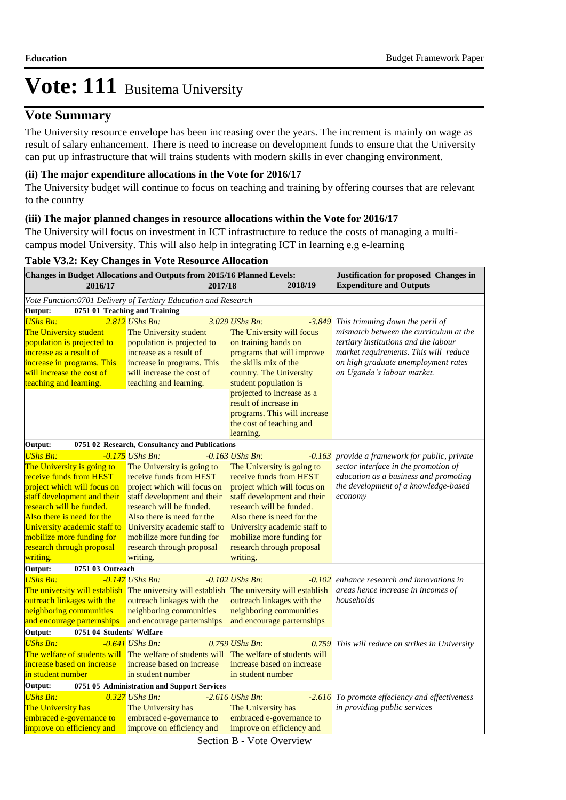### **Vote Summary**

The University resource envelope has been increasing over the years. The increment is mainly on wage as result of salary enhancement. There is need to increase on development funds to ensure that the University can put up infrastructure that will trains students with modern skills in ever changing environment.

### **(ii) The major expenditure allocations in the Vote for 2016/17**

The University budget will continue to focus on teaching and training by offering courses that are relevant to the country

### **(iii) The major planned changes in resource allocations within the Vote for 2016/17**

The University will focus on investment in ICT infrastructure to reduce the costs of managing a multicampus model University. This will also help in integrating ICT in learning e.g e-learning

|  |  |  | Table V3.2: Key Changes in Vote Resource Allocation |
|--|--|--|-----------------------------------------------------|
|  |  |  |                                                     |

| Changes in Budget Allocations and Outputs from 2015/16 Planned Levels:<br>Justification for proposed Changes in<br>2018/19<br><b>Expenditure and Outputs</b><br>2016/17<br>2017/18                                                                                                                     |                                                                                                                                                                                                                                                                                                          |                                                                                                                                                                                                                                                    |                                                                         |                                                                                                                                                                                                                                 |  |  |  |  |
|--------------------------------------------------------------------------------------------------------------------------------------------------------------------------------------------------------------------------------------------------------------------------------------------------------|----------------------------------------------------------------------------------------------------------------------------------------------------------------------------------------------------------------------------------------------------------------------------------------------------------|----------------------------------------------------------------------------------------------------------------------------------------------------------------------------------------------------------------------------------------------------|-------------------------------------------------------------------------|---------------------------------------------------------------------------------------------------------------------------------------------------------------------------------------------------------------------------------|--|--|--|--|
| Vote Function:0701 Delivery of Tertiary Education and Research                                                                                                                                                                                                                                         |                                                                                                                                                                                                                                                                                                          |                                                                                                                                                                                                                                                    |                                                                         |                                                                                                                                                                                                                                 |  |  |  |  |
| Output:                                                                                                                                                                                                                                                                                                | 0751 01 Teaching and Training                                                                                                                                                                                                                                                                            |                                                                                                                                                                                                                                                    |                                                                         |                                                                                                                                                                                                                                 |  |  |  |  |
| <b>UShs Bn:</b><br>The University student<br>population is projected to<br>increase as a result of<br>increase in programs. This<br>will increase the cost of<br>teaching and learning.                                                                                                                | $2.812$ UShs Bn:<br>The University student<br>population is projected to<br>increase as a result of<br>increase in programs. This<br>will increase the cost of<br>teaching and learning.                                                                                                                 | $3.029$ UShs Bn:<br>The University will focus<br>on training hands on<br>the skills mix of the<br>country. The University<br>student population is<br>projected to increase as a<br>result of increase in<br>the cost of teaching and<br>learning. | $-3.849$<br>programs that will improve<br>programs. This will increase  | This trimming down the peril of<br>mismatch between the curriculum at the<br>tertiary institutions and the labour<br>market requirements. This will reduce<br>on high graduate unemployment rates<br>on Uganda's labour market. |  |  |  |  |
| Output:                                                                                                                                                                                                                                                                                                | 0751 02 Research, Consultancy and Publications                                                                                                                                                                                                                                                           |                                                                                                                                                                                                                                                    |                                                                         |                                                                                                                                                                                                                                 |  |  |  |  |
| <b>UShs Bn:</b><br>The University is going to<br>receive funds from HEST<br>project which will focus on<br>staff development and their<br>research will be funded.<br>Also there is need for the<br>University academic staff to<br>mobilize more funding for<br>research through proposal<br>writing. | $-0.175$ UShs Bn:<br>The University is going to<br>receive funds from HEST<br>project which will focus on<br>staff development and their<br>research will be funded.<br>Also there is need for the<br>University academic staff to<br>mobilize more funding for<br>research through proposal<br>writing. | $-0.163$ UShs Bn.<br>The University is going to<br>receive funds from HEST<br>staff development and their<br>research will be funded.<br>Also there is need for the<br>mobilize more funding for<br>research through proposal<br>writing.          | $-0.163$<br>project which will focus on<br>University academic staff to | provide a framework for public, private<br>sector interface in the promotion of<br>education as a business and promoting<br>the development of a knowledge-based<br>economy                                                     |  |  |  |  |
| Output:<br>0751 03 Outreach                                                                                                                                                                                                                                                                            |                                                                                                                                                                                                                                                                                                          |                                                                                                                                                                                                                                                    |                                                                         |                                                                                                                                                                                                                                 |  |  |  |  |
| <b>UShs Bn:</b><br>The university will establish The university will establish The university will establish<br>outreach linkages with the<br>neighboring communities<br>and encourage parternships                                                                                                    | $-0.147$ UShs Bn:<br>outreach linkages with the<br>neighboring communities<br>and encourage parternships                                                                                                                                                                                                 | $-0.102$ UShs Bn:<br>outreach linkages with the<br>neighboring communities                                                                                                                                                                         | and encourage parternships                                              | -0.102 enhance research and innovations in<br>areas hence increase in incomes of<br>households                                                                                                                                  |  |  |  |  |
| Output:<br>0751 04 Students' Welfare                                                                                                                                                                                                                                                                   |                                                                                                                                                                                                                                                                                                          |                                                                                                                                                                                                                                                    |                                                                         |                                                                                                                                                                                                                                 |  |  |  |  |
| <b>UShs Bn:</b><br>The welfare of students will The welfare of students will The welfare of students will<br>increase based on increase<br>in student number                                                                                                                                           | $-0.641$ UShs Bn:<br>increase based on increase<br>in student number                                                                                                                                                                                                                                     | $0.759$ UShs Bn:<br>increase based on increase<br>in student number                                                                                                                                                                                |                                                                         | 0.759 This will reduce on strikes in University                                                                                                                                                                                 |  |  |  |  |
| Output:                                                                                                                                                                                                                                                                                                | 0751 05 Administration and Support Services                                                                                                                                                                                                                                                              |                                                                                                                                                                                                                                                    |                                                                         |                                                                                                                                                                                                                                 |  |  |  |  |
| <b>UShs Bn:</b><br>The University has<br>embraced e-governance to<br>improve on efficiency and                                                                                                                                                                                                         | $0.327$ UShs Bn:<br>The University has<br>embraced e-governance to<br>improve on efficiency and                                                                                                                                                                                                          | $-2.616$ UShs Bn:<br>The University has<br>embraced e-governance to<br>improve on efficiency and                                                                                                                                                   |                                                                         | -2.616 To promote effeciency and effectiveness<br>in providing public services                                                                                                                                                  |  |  |  |  |

Section B - Vote Overview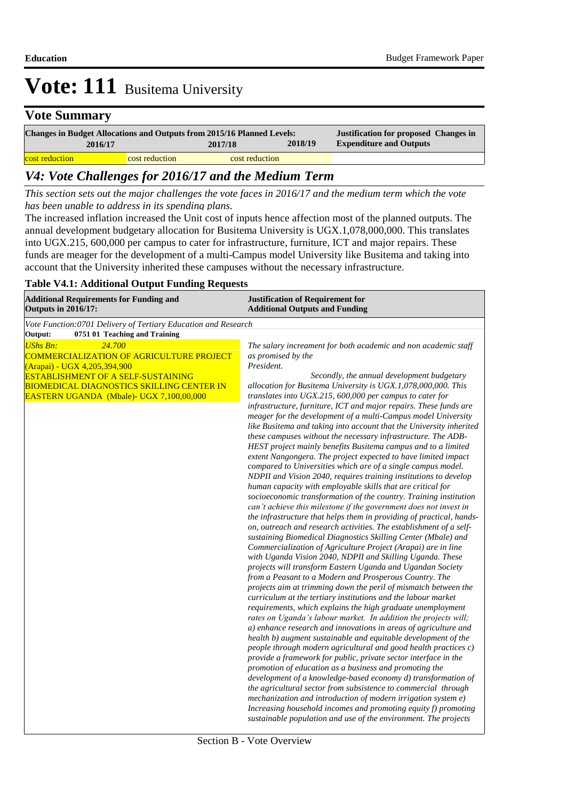### **Vote Summary**

| <b>Changes in Budget Allocations and Outputs from 2015/16 Planned Levels:</b> |                |                | <b>Justification for proposed Changes in</b> |                                |  |
|-------------------------------------------------------------------------------|----------------|----------------|----------------------------------------------|--------------------------------|--|
| 2016/17                                                                       |                | 2017/18        | 2018/19                                      | <b>Expenditure and Outputs</b> |  |
| cost reduction                                                                | cost reduction | cost reduction |                                              |                                |  |

### *V4: Vote Challenges for 2016/17 and the Medium Term*

*This section sets out the major challenges the vote faces in 2016/17 and the medium term which the vote has been unable to address in its spending plans.*

The increased inflation increased the Unit cost of inputs hence affection most of the planned outputs. The annual development budgetary allocation for Busitema University is UGX.1,078,000,000. This translates into UGX.215, 600,000 per campus to cater for infrastructure, furniture, ICT and major repairs. These funds are meager for the development of a multi-Campus model University like Busitema and taking into account that the University inherited these campuses without the necessary infrastructure.

#### *V5: Vote Cross-Cutting Policy and Other Budgetary Issues* **Additional Outputs and Funding Justification of Requirement for Additional Requirements for Funding and Outputs in 2016/17:** *Vote Function:0701 Delivery of Tertiary Education and Research* **Output: 0751 01 Teaching and Training** *UShs Bn: 24.700* COMMERCIALIZATION OF AGRICULTURE PROJECT (Arapai) - UGX 4,205,394,900 ESTABLISHMENT OF A SELF-SUSTAINING BIOMEDICAL DIAGNOSTICS SKILLING CENTER IN EASTERN UGANDA (Mbale)- UGX 7,100,00,000  *The salary increament for both academic and non academic staff as promised by the President. Secondly, the annual development budgetary allocation for Busitema University is UGX.1,078,000,000. This translates into UGX.215, 600,000 per campus to cater for infrastructure, furniture, ICT and major repairs. These funds are meager for the development of a multi-Campus model University like Busitema and taking into account that the University inherited these campuses without the necessary infrastructure. The ADB-HEST project mainly benefits Busitema campus and to a limited extent Nangongera. The project expected to have limited impact compared to Universities which are of a single campus model. NDPII and Vision 2040, requires training institutions to develop human capacity with employable skills that are critical for socioeconomic transformation of the country. Training institution can't achieve this milestone if the government does not invest in the infrastructure that helps them in providing of practical, handson, outreach and research activities. The establishment of a selfsustaining Biomedical Diagnostics Skilling Center (Mbale) and Commercialization of Agriculture Project (Arapai) are in line with Uganda Vision 2040, NDPII and Skilling Uganda. These projects will transform Eastern Uganda and Ugandan Society from a Peasant to a Modern and Prosperous Country. The projects aim at trimming down the peril of mismatch between the curriculum at the tertiary institutions and the labour market requirements, which explains the high graduate unemployment rates on Uganda's labour market. In addition the projects will; a) enhance research and innovations in areas of agriculture and health b) augment sustainable and equitable development of the people through modern agricultural and good health practices c) provide a framework for public, private sector interface in the promotion of education as a business and promoting the development of a knowledge-based economy d) transformation of the agricultural sector from subsistence to commercial through mechanization and introduction of modern irrigation system e) Increasing household incomes and promoting equity f) promoting sustainable population and use of the environment. The projects*

#### **Table V4.1: Additional Output Funding Requests**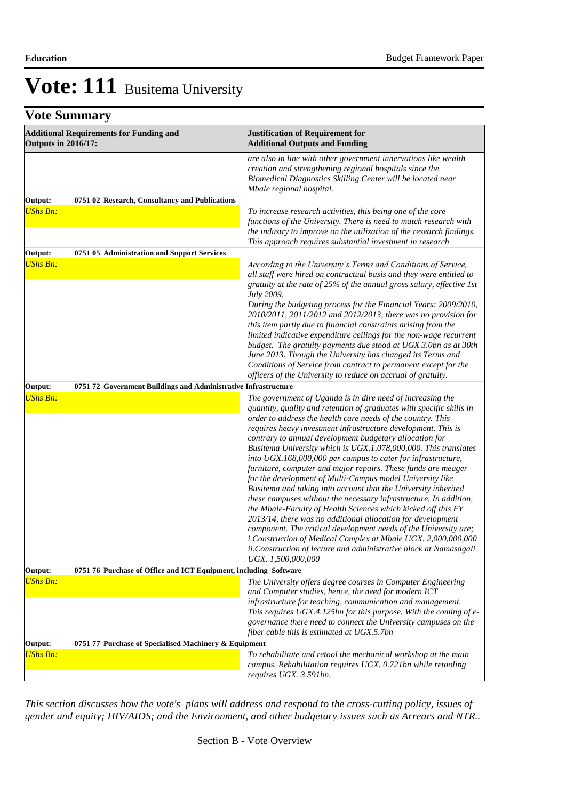## **Vote Summary**

| <b>Additional Requirements for Funding and</b><br><b>Outputs in 2016/17:</b> |                                                                  | <b>Justification of Requirement for</b><br><b>Additional Outputs and Funding</b>                                                                                                                                                                                                                                                                                                                                                                                                                                                                                                                                                                                                                                                                                                                                                                                                                                                                                                                                                                                                                        |
|------------------------------------------------------------------------------|------------------------------------------------------------------|---------------------------------------------------------------------------------------------------------------------------------------------------------------------------------------------------------------------------------------------------------------------------------------------------------------------------------------------------------------------------------------------------------------------------------------------------------------------------------------------------------------------------------------------------------------------------------------------------------------------------------------------------------------------------------------------------------------------------------------------------------------------------------------------------------------------------------------------------------------------------------------------------------------------------------------------------------------------------------------------------------------------------------------------------------------------------------------------------------|
|                                                                              |                                                                  | are also in line with other government innervations like wealth<br>creation and strengthening regional hospitals since the<br>Biomedical Diagnostics Skilling Center will be located near<br>Mbale regional hospital.                                                                                                                                                                                                                                                                                                                                                                                                                                                                                                                                                                                                                                                                                                                                                                                                                                                                                   |
| Output:                                                                      | 0751 02 Research, Consultancy and Publications                   |                                                                                                                                                                                                                                                                                                                                                                                                                                                                                                                                                                                                                                                                                                                                                                                                                                                                                                                                                                                                                                                                                                         |
| <b>UShs Bn:</b>                                                              |                                                                  | To increase research activities, this being one of the core<br>functions of the University. There is need to match research with<br>the industry to improve on the utilization of the research findings.<br>This approach requires substantial investment in research                                                                                                                                                                                                                                                                                                                                                                                                                                                                                                                                                                                                                                                                                                                                                                                                                                   |
| Output:                                                                      | 0751 05 Administration and Support Services                      |                                                                                                                                                                                                                                                                                                                                                                                                                                                                                                                                                                                                                                                                                                                                                                                                                                                                                                                                                                                                                                                                                                         |
| <b>UShs Bn:</b>                                                              |                                                                  | According to the University's Terms and Conditions of Service,<br>all staff were hired on contractual basis and they were entitled to<br>gratuity at the rate of 25% of the annual gross salary, effective 1st<br><i>July 2009.</i><br>During the budgeting process for the Financial Years: 2009/2010,<br>2010/2011, 2011/2012 and 2012/2013, there was no provision for<br>this item partly due to financial constraints arising from the<br>limited indicative expenditure ceilings for the non-wage recurrent<br>budget. The gratuity payments due stood at UGX 3.0bn as at 30th<br>June 2013. Though the University has changed its Terms and<br>Conditions of Service from contract to permanent except for the                                                                                                                                                                                                                                                                                                                                                                                   |
|                                                                              |                                                                  | officers of the University to reduce on accrual of gratuity.                                                                                                                                                                                                                                                                                                                                                                                                                                                                                                                                                                                                                                                                                                                                                                                                                                                                                                                                                                                                                                            |
| Output:                                                                      | 0751 72 Government Buildings and Administrative Infrastructure   |                                                                                                                                                                                                                                                                                                                                                                                                                                                                                                                                                                                                                                                                                                                                                                                                                                                                                                                                                                                                                                                                                                         |
| <b>UShs Bn:</b>                                                              |                                                                  | The government of Uganda is in dire need of increasing the<br>quantity, quality and retention of graduates with specific skills in<br>order to address the health care needs of the country. This<br>requires heavy investment infrastructure development. This is<br>contrary to annual development budgetary allocation for<br>Busitema University which is UGX.1,078,000,000. This translates<br>into UGX.168,000,000 per campus to cater for infrastructure,<br>furniture, computer and major repairs. These funds are meager<br>for the development of Multi-Campus model University like<br>Busitema and taking into account that the University inherited<br>these campuses without the necessary infrastructure. In addition,<br>the Mbale-Faculty of Health Sciences which kicked off this FY<br>2013/14, there was no additional allocation for development<br>component. The critical development needs of the University are;<br>i. Construction of Medical Complex at Mbale UGX. 2,000,000,000<br>ii. Construction of lecture and administrative block at Namasagali<br>UGX. 1,500,000,000 |
| Output:                                                                      | 0751 76 Purchase of Office and ICT Equipment, including Software |                                                                                                                                                                                                                                                                                                                                                                                                                                                                                                                                                                                                                                                                                                                                                                                                                                                                                                                                                                                                                                                                                                         |
| <b>UShs Bn:</b>                                                              |                                                                  | The University offers degree courses in Computer Engineering<br>and Computer studies, hence, the need for modern ICT<br>infrastructure for teaching, communication and management.<br>This requires UGX.4.125bn for this purpose. With the coming of e-<br>governance there need to connect the University campuses on the<br>fiber cable this is estimated at UGX.5.7bn                                                                                                                                                                                                                                                                                                                                                                                                                                                                                                                                                                                                                                                                                                                                |
| Output:                                                                      | 0751 77 Purchase of Specialised Machinery & Equipment            |                                                                                                                                                                                                                                                                                                                                                                                                                                                                                                                                                                                                                                                                                                                                                                                                                                                                                                                                                                                                                                                                                                         |
| <b>UShs Bn:</b>                                                              |                                                                  | To rehabilitate and retool the mechanical workshop at the main<br>campus. Rehabilitation requires UGX. 0.721bn while retooling<br>requires UGX. 3.591bn.                                                                                                                                                                                                                                                                                                                                                                                                                                                                                                                                                                                                                                                                                                                                                                                                                                                                                                                                                |

*This section discusses how the vote's plans will address and respond to the cross-cutting policy, issues of gender and equity; HIV/AIDS; and the Environment, and other budgetary issues such as Arrears and NTR..*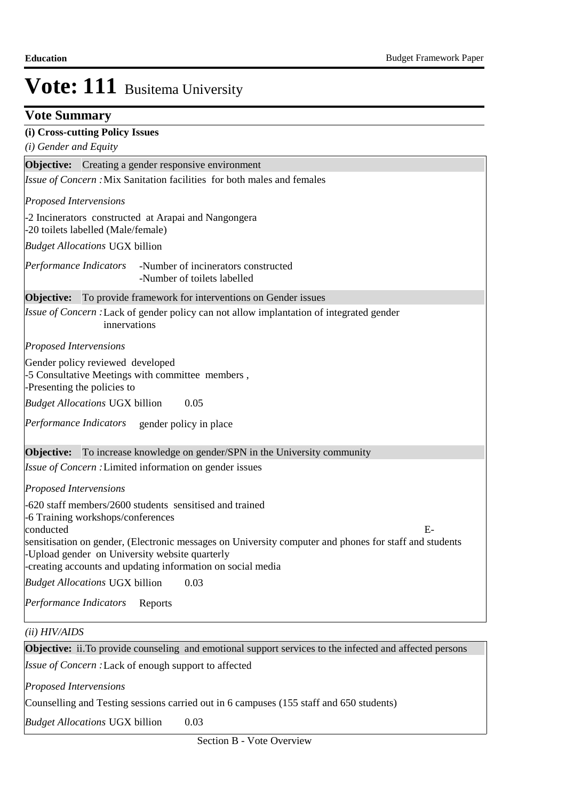### **Vote Summary**

### **(i) Cross-cutting Policy Issues**

*(i) Gender and Equity*

**Objective:** Creating a gender responsive environment

Issue of Concern : Mix Sanitation facilities for both males and females

*Proposed Intervensions* 

-2 Incinerators constructed at Arapai and Nangongera

-20 toilets labelled (Male/female) *Budget Allocations*  UGX billion

-Number of incinerators constructed -Number of toilets labelled *Performance Indicators*

**Objective:** To provide framework for interventions on Gender issues

Issue of Concern : Lack of gender policy can not allow implantation of integrated gender innervations

*Proposed Intervensions* 

Gender policy reviewed developed

-5 Consultative Meetings with committee members ,

-Presenting the policies to

0.05 *Budget Allocations*  UGX billion

Performance Indicators gender policy in place

**Objective:** To increase knowledge on gender/SPN in the University community

Issue of Concern : Limited information on gender issues

*Proposed Intervensions* 

-620 staff members/2600 students sensitised and trained -6 Training workshops/conferences conducted E-

sensitisation on gender, (Electronic messages on University computer and phones for staff and students -Upload gender on University website quarterly

-creating accounts and updating information on social media

0.03 *Budget Allocations*  UGX billion

Performance Indicators Reports

*(ii) HIV/AIDS*

**Objective:** ii. To provide counseling and emotional support services to the infected and affected persons

Issue of Concern : Lack of enough support to affected

*Proposed Intervensions* 

Counselling and Testing sessions carried out in 6 campuses (155 staff and 650 students)

0.03 *Budget Allocations* UGX billion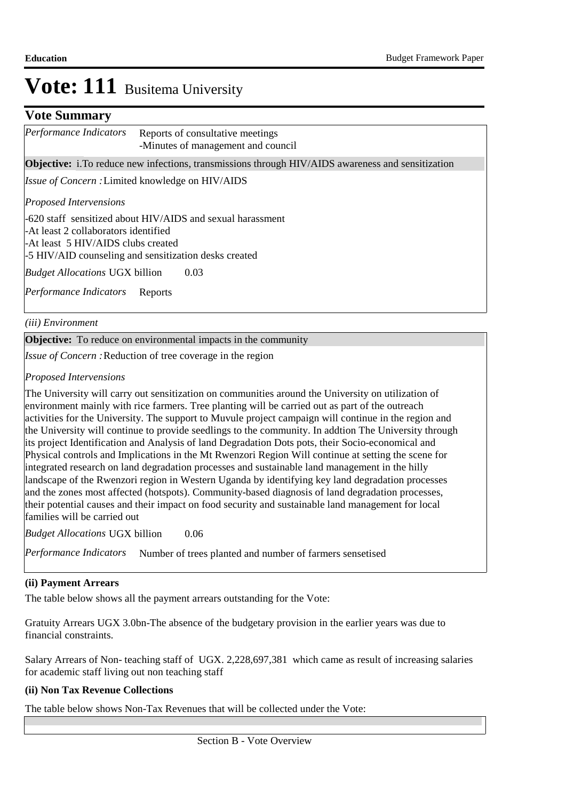### **Vote Summary**

| Performance Indicators | Reports of consultative meetings   |
|------------------------|------------------------------------|
|                        | -Minutes of management and council |

**Objective:** i. To reduce new infections, transmissions through HIV/AIDS awareness and sensitization

Issue of Concern : Limited knowledge on HIV/AIDS

*Proposed Intervensions* 

-620 staff sensitized about HIV/AIDS and sexual harassment -At least 2 collaborators identified -At least 5 HIV/AIDS clubs created

-5 HIV/AID counseling and sensitization desks created

0.03 *Budget Allocations*  UGX billion

Performance Indicators Reports

*(iii) Environment*

**Objective:** To reduce on environmental impacts in the community

Issue of Concern : Reduction of tree coverage in the region

*Proposed Intervensions* 

The University will carry out sensitization on communities around the University on utilization of environment mainly with rice farmers. Tree planting will be carried out as part of the outreach activities for the University. The support to Muvule project campaign will continue in the region and the University will continue to provide seedlings to the community. In addtion The University through its project Identification and Analysis of land Degradation Dots pots, their Socio-economical and Physical controls and Implications in the Mt Rwenzori Region Will continue at setting the scene for integrated research on land degradation processes and sustainable land management in the hilly landscape of the Rwenzori region in Western Uganda by identifying key land degradation processes and the zones most affected (hotspots). Community-based diagnosis of land degradation processes, their potential causes and their impact on food security and sustainable land management for local families will be carried out

0.06 *Budget Allocations*  UGX billion

Performance Indicators Number of trees planted and number of farmers sensetised

#### **(ii) Payment Arrears**

The table below shows all the payment arrears outstanding for the Vote:

Gratuity Arrears UGX 3.0bn-The absence of the budgetary provision in the earlier years was due to financial constraints.

Salary Arrears of Non- teaching staff of UGX. 2,228,697,381 which came as result of increasing salaries for academic staff living out non teaching staff

### **(ii) Non Tax Revenue Collections**

The table below shows Non-Tax Revenues that will be collected under the Vote: